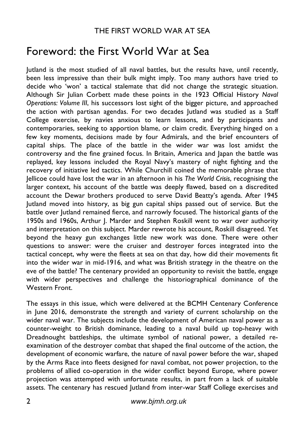## THE FIRST WORLD WAR AT SEA

## Foreword: the First World War at Sea

Jutland is the most studied of all naval battles, but the results have, until recently, been less impressive than their bulk might imply. Too many authors have tried to decide who 'won' a tactical stalemate that did not change the strategic situation. Although Sir Julian Corbett made these points in the 1923 Official History *Naval Operations: Volume III*, his successors lost sight of the bigger picture, and approached the action with partisan agendas. For two decades Jutland was studied as a Staff College exercise, by navies anxious to learn lessons, and by participants and contemporaries, seeking to apportion blame, or claim credit. Everything hinged on a few key moments, decisions made by four Admirals, and the brief encounters of capital ships. The place of the battle in the wider war was lost amidst the controversy and the fine grained focus. In Britain, America and Japan the battle was replayed, key lessons included the Royal Navy's mastery of night fighting and the recovery of initiative led tactics. While Churchill coined the memorable phrase that Jellicoe could have lost the war in an afternoon in his *The World Crisis*, recognising the larger context, his account of the battle was deeply flawed, based on a discredited account the Dewar brothers produced to serve David Beatty's agenda. After 1945 Jutland moved into history, as big gun capital ships passed out of service. But the battle over Jutland remained fierce, and narrowly focused. The historical giants of the 1950s and 1960s, Arthur J. Marder and Stephen Roskill went to war over authority and interpretation on this subject. Marder rewrote his account, Roskill disagreed. Yet beyond the heavy gun exchanges little new work was done. There were other questions to answer: were the cruiser and destroyer forces integrated into the tactical concept, why were the fleets at sea on that day, how did their movements fit into the wider war in mid-1916, and what was British strategy in the theatre on the eve of the battle? The centenary provided an opportunity to revisit the battle, engage with wider perspectives and challenge the historiographical dominance of the Western Front.

The essays in this issue, which were delivered at the BCMH Centenary Conference in June 2016, demonstrate the strength and variety of current scholarship on the wider naval war. The subjects include the development of American naval power as a counter-weight to British dominance, leading to a naval build up top-heavy with Dreadnought battleships, the ultimate symbol of national power, a detailed reexamination of the destroyer combat that shaped the final outcome of the action, the development of economic warfare, the nature of naval power before the war, shaped by the Arms Race into fleets designed for naval combat, not power projection, to the problems of allied co-operation in the wider conflict beyond Europe, where power projection was attempted with unfortunate results, in part from a lack of suitable assets. The centenary has rescued Jutland from inter-war Staff College exercises and